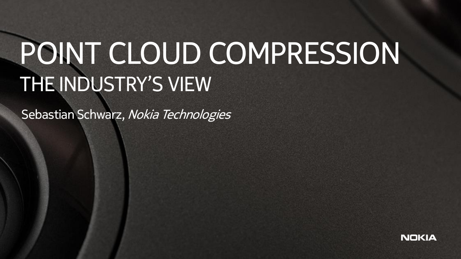## POINT CLOUD COMPRESSION THE INDUSTRY'S VIEW

Sebastian Schwarz, Nokia Technologies

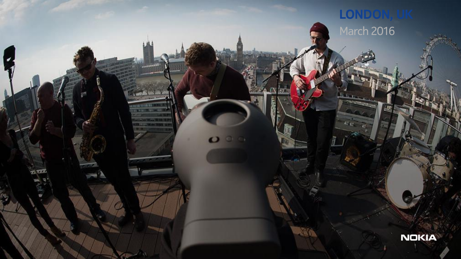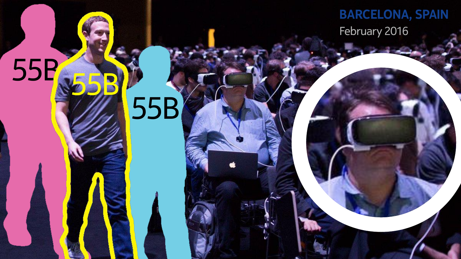**BARCELONA, SPAIN** February 2016

## 55B 55B

جراد

55B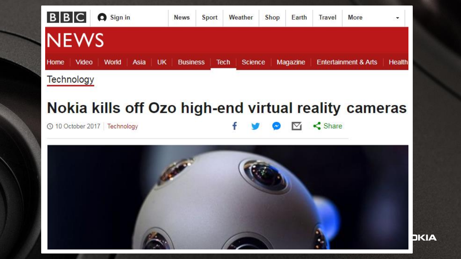| B B C       |            | Sign in                    |  | <b>News</b> | <b>Sport</b>    | Weather     | Shop    | Earth | Travel   | More                            | $\overline{\phantom{a}}$<br><b>SON</b> |        |
|-------------|------------|----------------------------|--|-------------|-----------------|-------------|---------|-------|----------|---------------------------------|----------------------------------------|--------|
| <b>NEWS</b> |            |                            |  |             |                 |             |         |       |          |                                 |                                        |        |
| Home        | Video      | <b>UK</b><br>Asia<br>World |  |             | <b>Business</b> | <b>Tech</b> | Science |       | Magazine | <b>Entertainment &amp; Arts</b> |                                        | Health |
|             | Technology |                            |  |             |                 |             |         |       |          |                                 |                                        |        |

#### Nokia kills off Ozo high-end virtual reality cameras

 $\leq$  Share

 $\nabla_{\!\!1}$ 

© 10 October 2017 Technology

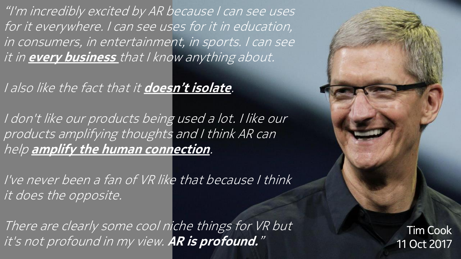"I'm incredibly excited by AR because I can see uses for it everywhere. I can see uses for it in education, in consumers, in entertainment, in sports. I can see it in **every business** that I know anything about.

I also like the fact that it **doesn't isolate**.

I don't like our products being used a lot. I like our products amplifying thoughts and I think AR can help **amplify the human connection**.

I've never been a fan of VR like that because I think it does the opposite.

There are clearly some cool niche things for VR but it's not profound in my view. **AR is profound.**"

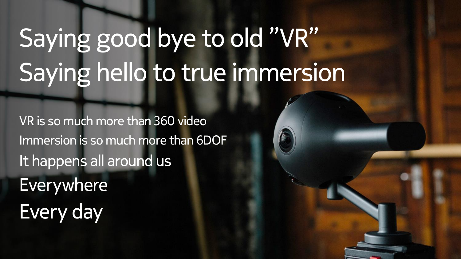# Saying good bye to old "VR" Saying hello to true immersion

VR is so much more than 360 video Immersion is so much more than 6DOF It happens all around us Everywhere Every day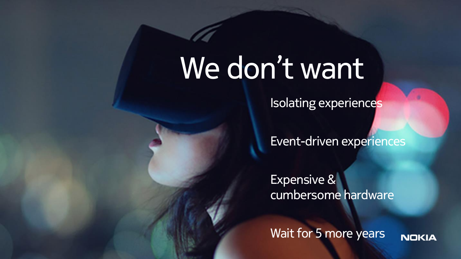## We don't want

Isolating experiences

Event-driven experiences

Expensive & cumbersome hardware

Wait for 5 more years**NOKIA**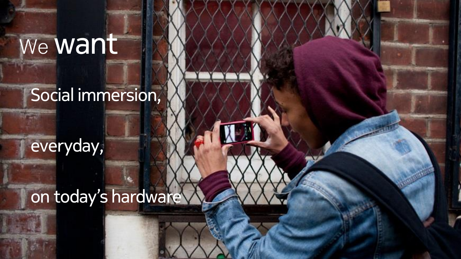## We **Want**

#### Social immersion,

everyday,

### on today's hardware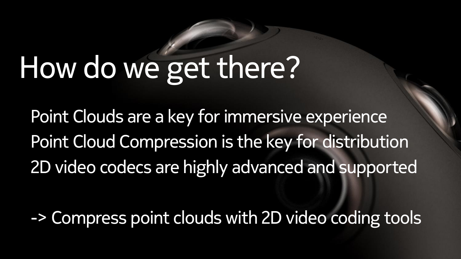# How do we get there?

Point Clouds are a key for immersive experience Point Cloud Compression is the key for distribution 2D video codecs are highly advanced and supported

-> Compress point clouds with 2D video coding tools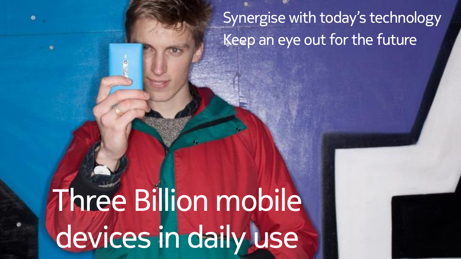Synergise with today's technology Keep an eye out for the future

# Three Billion mobile devices in daily use